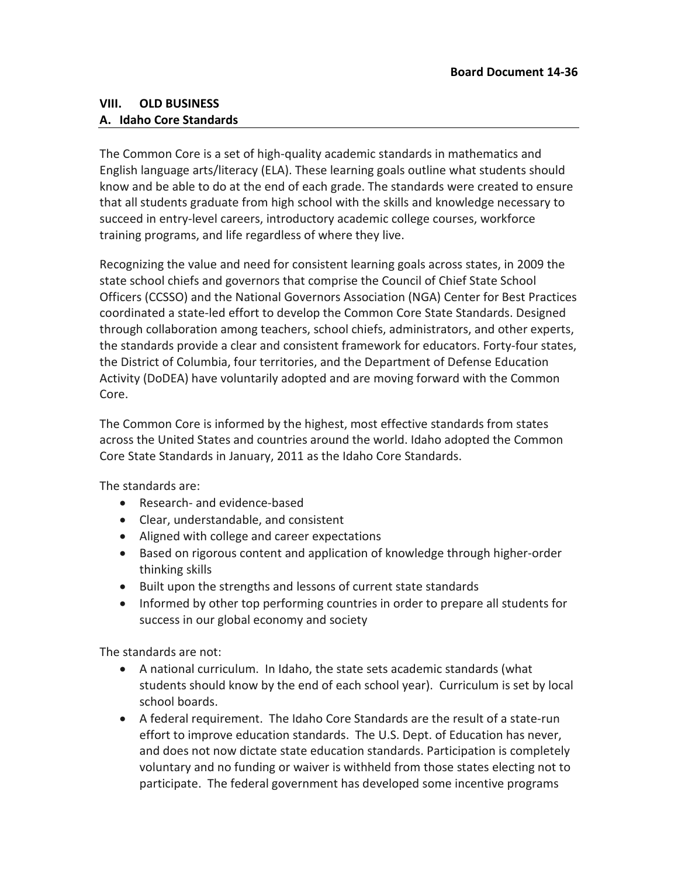## **VIII. OLD BUSINESS A. Idaho Core Standards**

The Common Core is a set of high-quality academic standards in mathematics and English language arts/literacy (ELA). These learning goals outline what students should know and be able to do at the end of each grade. The standards were created to ensure that all students graduate from high school with the skills and knowledge necessary to succeed in entry-level careers, introductory academic college courses, workforce training programs, and life regardless of where they live.

Recognizing the value and need for consistent learning goals across states, in 2009 the state school chiefs and governors that comprise the Council of Chief State School Officers (CCSSO) and the National Governors Association (NGA) Center for Best Practices coordinated a state-led effort to develop the Common Core State Standards. Designed through collaboration among teachers, school chiefs, administrators, and other experts, the standards provide a clear and consistent framework for educators. Forty-four states, the District of Columbia, four territories, and the Department of Defense Education Activity (DoDEA) have voluntarily adopted and are moving forward with the Common Core.

The Common Core is informed by the highest, most effective standards from states across the United States and countries around the world. Idaho adopted the Common Core State Standards in January, 2011 as the Idaho Core Standards.

The standards are:

- Research- and evidence-based
- Clear, understandable, and consistent
- Aligned with college and career expectations
- Based on rigorous content and application of knowledge through higher-order thinking skills
- Built upon the strengths and lessons of current state standards
- Informed by other top performing countries in order to prepare all students for success in our global economy and society

The standards are not:

- A national curriculum. In Idaho, the state sets academic standards (what students should know by the end of each school year). Curriculum is set by local school boards.
- A federal requirement. The Idaho Core Standards are the result of a state-run effort to improve education standards. The U.S. Dept. of Education has never, and does not now dictate state education standards. Participation is completely voluntary and no funding or waiver is withheld from those states electing not to participate. The federal government has developed some incentive programs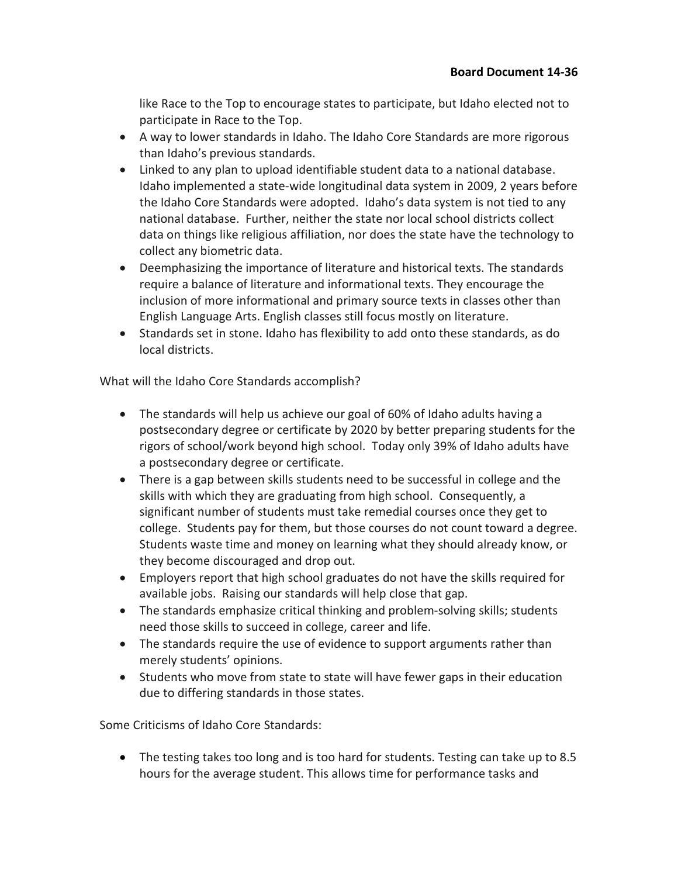like Race to the Top to encourage states to participate, but Idaho elected not to participate in Race to the Top.

- A way to lower standards in Idaho. The Idaho Core Standards are more rigorous than Idaho's previous standards.
- Linked to any plan to upload identifiable student data to a national database. Idaho implemented a state-wide longitudinal data system in 2009, 2 years before the Idaho Core Standards were adopted. Idaho's data system is not tied to any national database. Further, neither the state nor local school districts collect data on things like religious affiliation, nor does the state have the technology to collect any biometric data.
- Deemphasizing the importance of literature and historical texts. The standards require a balance of literature and informational texts. They encourage the inclusion of more informational and primary source texts in classes other than English Language Arts. English classes still focus mostly on literature.
- Standards set in stone. Idaho has flexibility to add onto these standards, as do local districts.

What will the Idaho Core Standards accomplish?

- The standards will help us achieve our goal of 60% of Idaho adults having a postsecondary degree or certificate by 2020 by better preparing students for the rigors of school/work beyond high school. Today only 39% of Idaho adults have a postsecondary degree or certificate.
- There is a gap between skills students need to be successful in college and the skills with which they are graduating from high school. Consequently, a significant number of students must take remedial courses once they get to college. Students pay for them, but those courses do not count toward a degree. Students waste time and money on learning what they should already know, or they become discouraged and drop out.
- Employers report that high school graduates do not have the skills required for available jobs. Raising our standards will help close that gap.
- The standards emphasize critical thinking and problem-solving skills; students need those skills to succeed in college, career and life.
- The standards require the use of evidence to support arguments rather than merely students' opinions.
- Students who move from state to state will have fewer gaps in their education due to differing standards in those states.

Some Criticisms of Idaho Core Standards:

• The testing takes too long and is too hard for students. Testing can take up to 8.5 hours for the average student. This allows time for performance tasks and